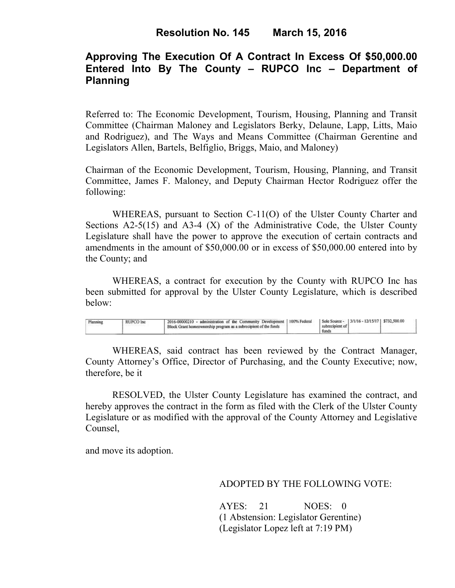# **Approving The Execution Of A Contract In Excess Of \$50,000.00 Entered Into By The County – RUPCO Inc – Department of Planning**

Referred to: The Economic Development, Tourism, Housing, Planning and Transit Committee (Chairman Maloney and Legislators Berky, Delaune, Lapp, Litts, Maio and Rodriguez), and The Ways and Means Committee (Chairman Gerentine and Legislators Allen, Bartels, Belfiglio, Briggs, Maio, and Maloney)

Chairman of the Economic Development, Tourism, Housing, Planning, and Transit Committee, James F. Maloney, and Deputy Chairman Hector Rodriguez offer the following:

WHEREAS, pursuant to Section C-11(O) of the Ulster County Charter and Sections  $A2-5(15)$  and  $A3-4(X)$  of the Administrative Code, the Ulster County Legislature shall have the power to approve the execution of certain contracts and amendments in the amount of \$50,000.00 or in excess of \$50,000.00 entered into by the County; and

 WHEREAS, a contract for execution by the County with RUPCO Inc has been submitted for approval by the Ulster County Legislature, which is described below:

| Plannins.<br><b>RUPC</b> |  | administration of the Community Development<br>2016-00000210<br>' Block Grant homeownership program as a subrecipient of the funds | 100% Federal | Sole Source -<br>subrecipient of<br>funds | 3/1/16 - 12/15/17   \$732,500.00 |  |  |
|--------------------------|--|------------------------------------------------------------------------------------------------------------------------------------|--------------|-------------------------------------------|----------------------------------|--|--|
|--------------------------|--|------------------------------------------------------------------------------------------------------------------------------------|--------------|-------------------------------------------|----------------------------------|--|--|

WHEREAS, said contract has been reviewed by the Contract Manager, County Attorney's Office, Director of Purchasing, and the County Executive; now, therefore, be it

RESOLVED, the Ulster County Legislature has examined the contract, and hereby approves the contract in the form as filed with the Clerk of the Ulster County Legislature or as modified with the approval of the County Attorney and Legislative Counsel,

and move its adoption.

## ADOPTED BY THE FOLLOWING VOTE:

AYES: 21 NOES: 0 (1 Abstension: Legislator Gerentine) (Legislator Lopez left at 7:19 PM)